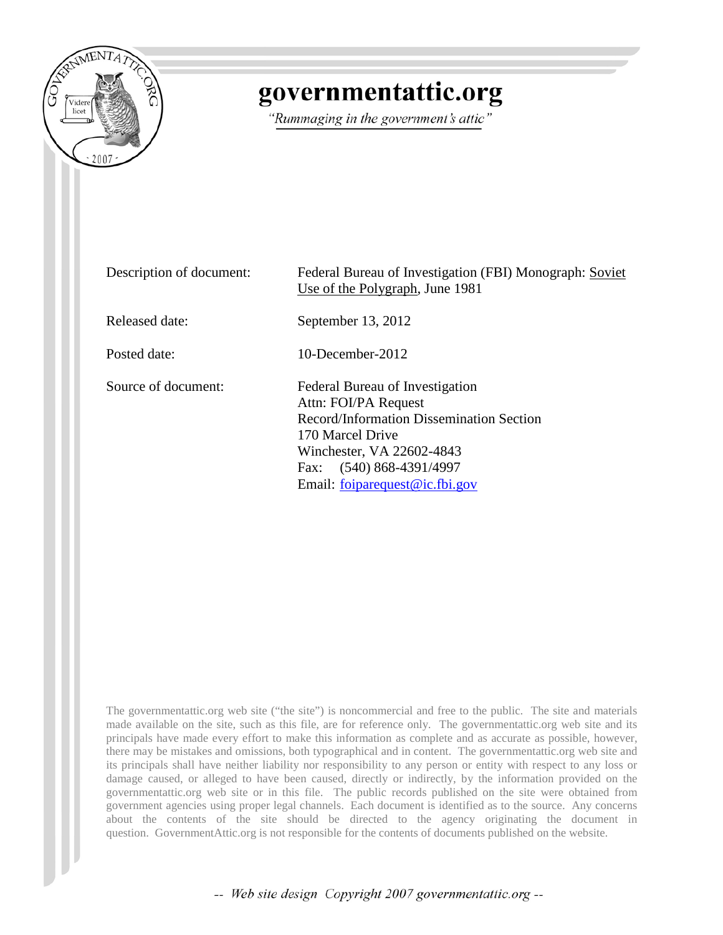

# governmentattic.org

"Rummaging in the government's attic"

| Description of document: | Federal Bureau of Investigation (FBI) Monograph: Soviet<br>Use of the Polygraph, June 1981                                                                                                                              |  |
|--------------------------|-------------------------------------------------------------------------------------------------------------------------------------------------------------------------------------------------------------------------|--|
| Released date:           | September 13, 2012                                                                                                                                                                                                      |  |
| Posted date:             | $10$ -December-2012                                                                                                                                                                                                     |  |
| Source of document:      | Federal Bureau of Investigation<br>Attn: FOI/PA Request<br>Record/Information Dissemination Section<br>170 Marcel Drive<br>Winchester, VA 22602-4843<br>$(540)$ 868-4391/4997<br>Fax:<br>Email: foiparequest@ic.fbi.gov |  |

The governmentattic.org web site ("the site") is noncommercial and free to the public. The site and materials made available on the site, such as this file, are for reference only. The governmentattic.org web site and its principals have made every effort to make this information as complete and as accurate as possible, however, there may be mistakes and omissions, both typographical and in content. The governmentattic.org web site and its principals shall have neither liability nor responsibility to any person or entity with respect to any loss or damage caused, or alleged to have been caused, directly or indirectly, by the information provided on the governmentattic.org web site or in this file. The public records published on the site were obtained from government agencies using proper legal channels. Each document is identified as to the source. Any concerns about the contents of the site should be directed to the agency originating the document in question. GovernmentAttic.org is not responsible for the contents of documents published on the website.

-- Web site design Copyright 2007 governmentattic.org --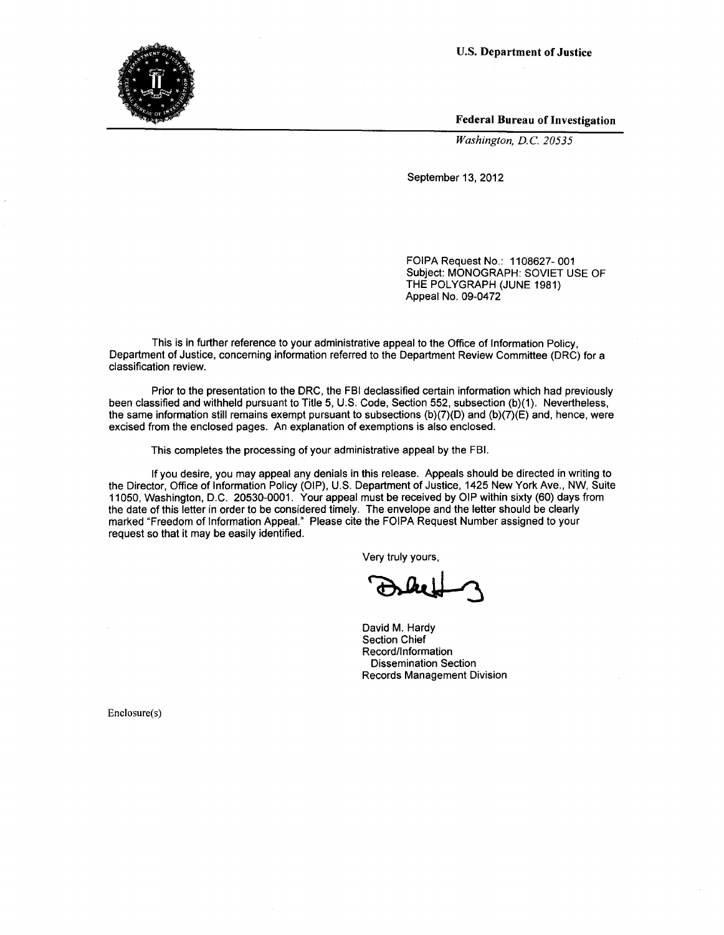U.S. Department of Justice



Federal Bureau of Investigation

*Washington, D.C. 20535* 

September 13, 2012

FOIPA Request No.: 1108627-001 Subject: MONOGRAPH: SOVIET USE OF THE POLYGRAPH (JUNE 1981) Appeal No. 09-0472

This is in further reference to your administrative appeal to the Office of Information Policy, Department of Justice, concerning information referred to the Department Review Committee (DRC) for a classification review.

Prior to the presentation to the DRC, the FBI declassified certain information which had previously been classified and withheld pursuant to Title 5, U.S. Code, Section 552, subsection (b)(1). Nevertheless, the same information still remains exempt pursuant to subsections (b)(7)(D) and (b)(7)(E) and, hence, were excised from the enclosed pages. An explanation of exemptions is also enclosed.

This completes the processing of your administrative appeal by the FBI.

If you desire, you may appeal any denials in this release. Appeals should be directed in writing to the Director, Office of Information Policy (OIP), U.S. Department of Justice, 1425 New York Ave., NW, Suite 11050, Washington, D.C. 20530-0001. Your appeal must be received by OIP within sixty (60) days from the date of this letter in order to be considered timely. The envelope and the letter should be clearly marked "Freedom of Information Appeal." Please cite the FOIPA Request Number assigned to your request so that it may be easily identified.

Very truly yours,

David M. Hardy Section Chief Record/Information Dissemination Section Records Management Division

Enclosure(s)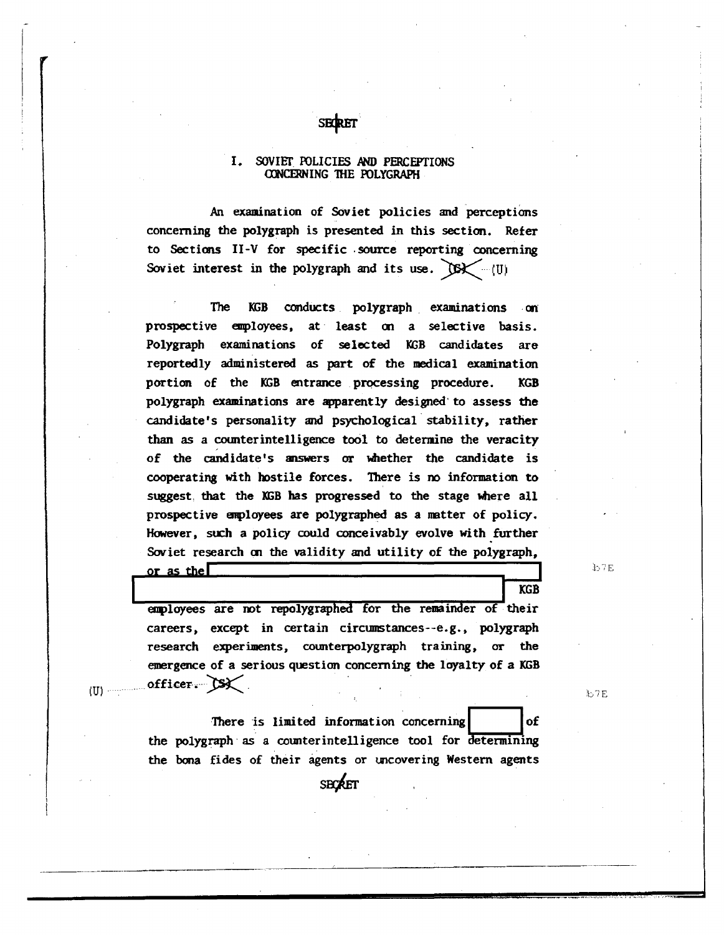#### SOVIET POLICIES AND PERCEPTIONS  $\mathbf{I}$ . CONCERNING THE POLYGRAPH

**SECRET** 

An examination of Soviet policies and perceptions concerning the polygraph is presented in this section. Refer to Sections II-V for specific source reporting concerning Soviet interest in the polygraph and its use.  $OS \leftarrow (U)$ 

The conducts polygraph examinations KGB  $-\alpha n$ prospective employees, at least on a selective basis. Polygraph examinations of selected KGB candidates are reportedly administered as part of the medical examination portion of the KGB entrance processing procedure. **KGB** polygraph examinations are apparently designed to assess the candidate's personality and psychological stability, rather than as a counterintelligence tool to determine the veracity of the candidate's answers or whether the candidate is cooperating with hostile forces. There is no information to suggest that the KGB has progressed to the stage where all prospective employees are polygraphed as a matter of policy. However, such a policy could conceivably evolve with further Soviet research on the validity and utility of the polygraph,

 $b7E$ 

**KGB** 

employees are not repolygraphed for the remainder of their careers, except in certain circumstances--e.g., polygraph research experiments, counterpolygraph training, or the emergence of a serious question concerning the loyalty of a KGB officer.  $S\mathsf{X}$ 

b7E

There is limited information concerning of the polygraph as a counterintelligence tool for determining the bona fides of their agents or uncovering Western agents

**SECRET** 

or as the  $\Box$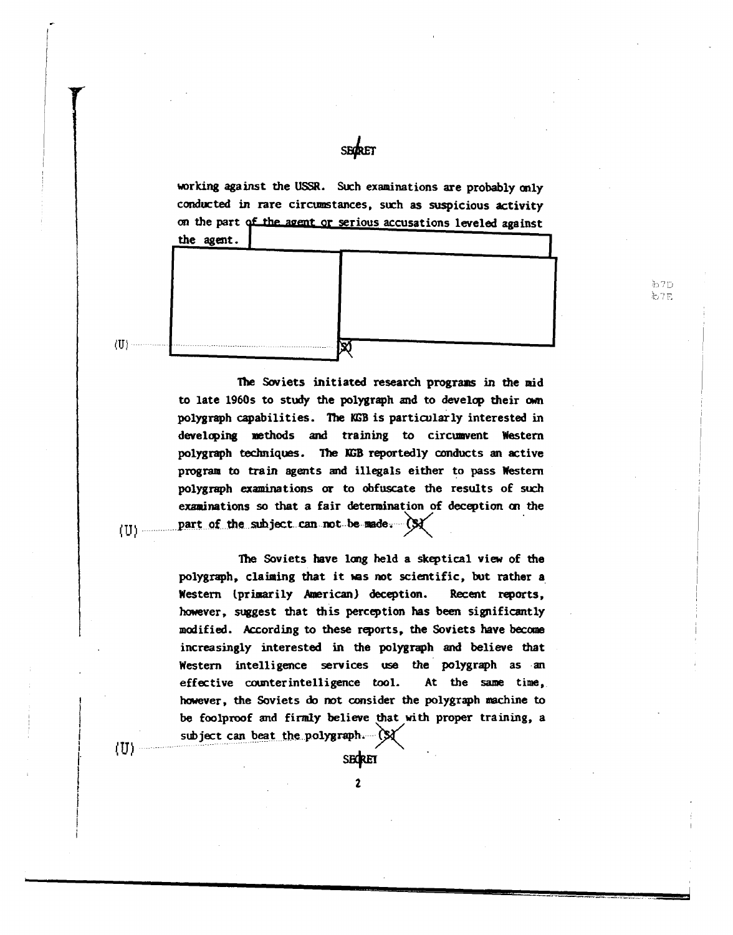working against the USSR. Such examinations are probably only conducted in rare circumstances, such as suspicious activity on the part of the agent or serious accusations leveled against the agent.

> b7D. も7日

SECTET



 $(U)$  -

(U) —

(U)

The Soviets initiated research programs in the mid to late 1960s to study the polygraph and to develop their own polygraph capabilities. The KGB is particularly interested in developing methods and training to circumvent Western polygraph techniques. The KGB reportedly conducts an active program to train agents and illegals either to pass Western polygraph examinations or to obfuscate the results of such examinations so that a fair determination of deception on the part of the subject can not be made. (\$)

The Soviets have long held a skeptical view of the polygraph, claiming that it was not scientific, but rather a Western (primarily American) deception. Recent reports, however, suggest that this perception has been significantly modified. According to these reports, the Soviets have become increasingly interested in the polygraph and believe that Western intelligence services use the polygraph as an effective counterintelligence tool. At the same time, however, the Soviets do not consider the polygraph machine to be foolproof and firmly believe that with proper training, a subject can beat the polygraph. (\$)

**SECRET** 

 $\mathbf{z}$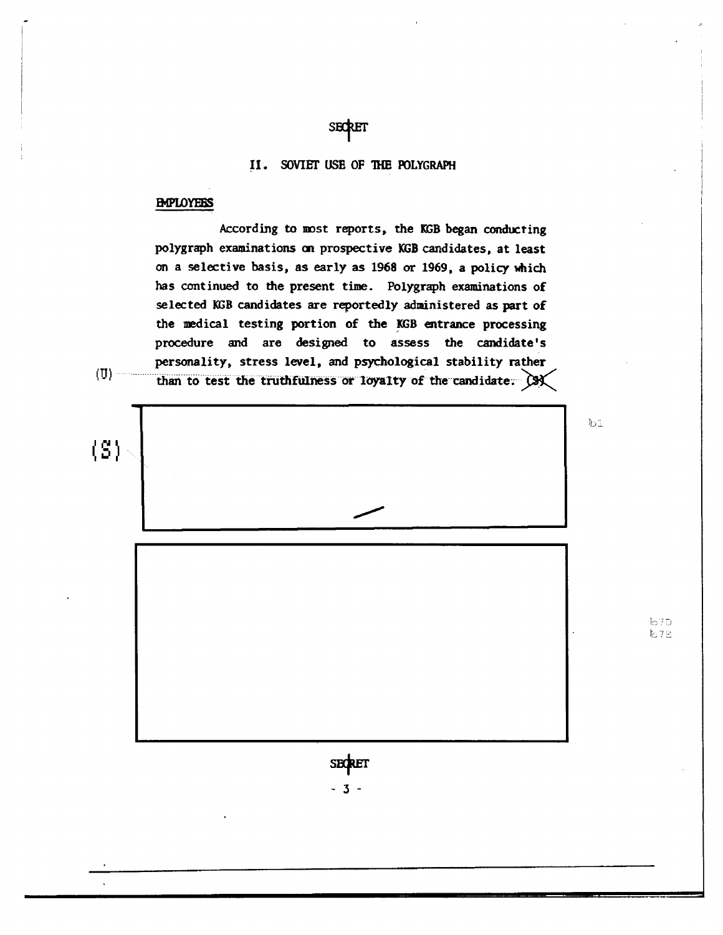## **SECRET**

### II. SOVIET USE OF THE POLYGRAPH

#### **EMPLOYEES**

 $(U)$ 

According to most reports, the KGB began conducting polygraph examinations on prospective KGB candidates, at least on a selective basis, as early as 1968 or 1969, a policy which has continued to the present time. Polygraph examinations of selected KGB candidates are reportedly administered as part of the medical testing portion of the KGB entrance processing procedure and are designed to assess the candidate's personality, stress level, and psychological stability rather than to test the truthfulness or loyalty of the candidate. (3)

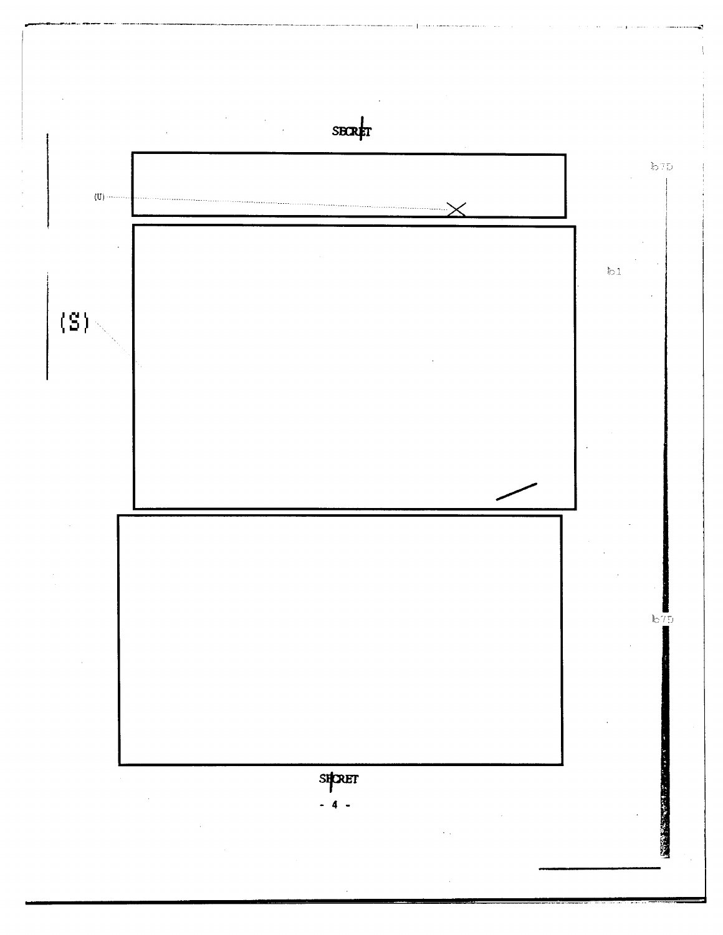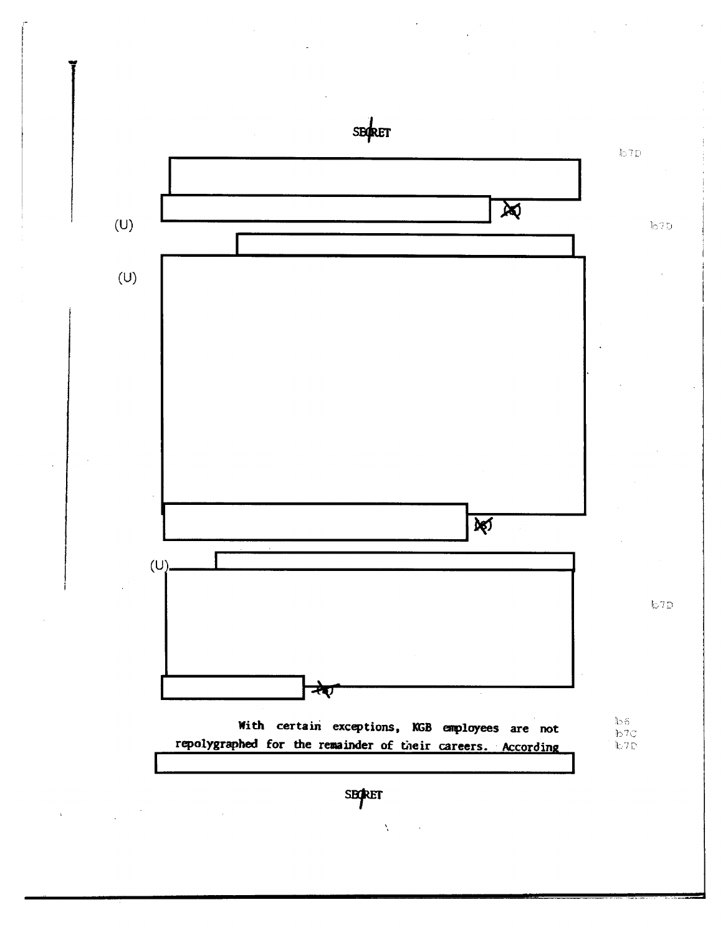-<br>1 SECRET  $\mathbb{I}_{\mathbb{D}}$ 7 D  $\overline{\phantom{a}}$ (U)  $b7D$ I I (U)  $\overline{\aleph}$ (U)----~~------------------------------~  $b7D$  $\overrightarrow{z}$ ~-------------J~ With certain exceptions, KGB enployees are not  $156$ b7C repolygraphed for the remainder of their careers. According  $L$  7  $\Box$ **SECRET**  $\lambda_{\rm c}$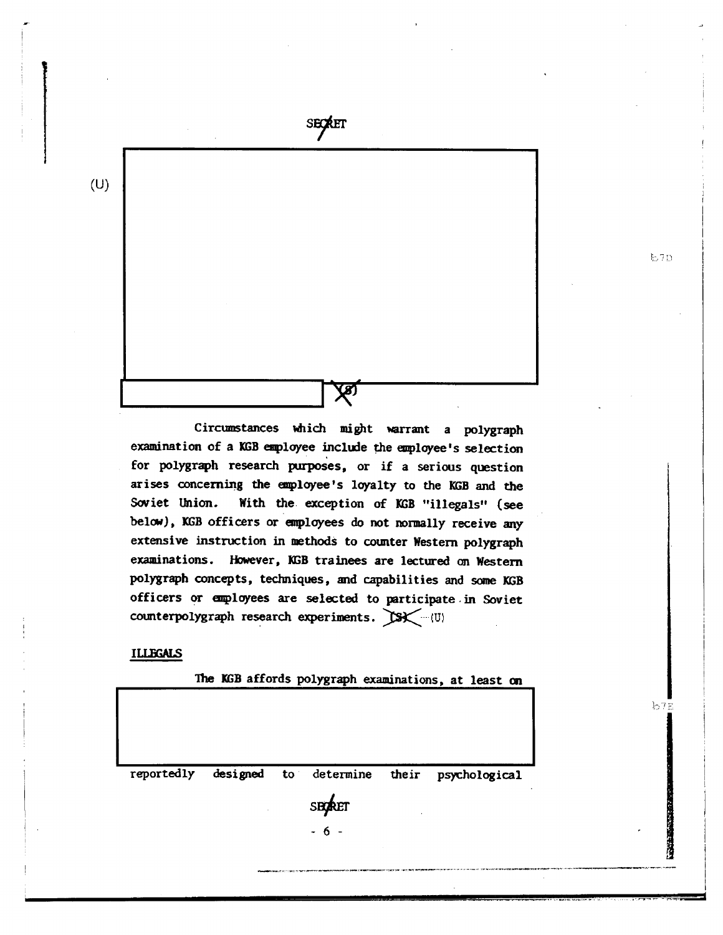

Circumstances which might warrant a polygraph examination of a KGB employee include the employee's selection for polygraph research purposes, or if a serious question arises concerning the employee's loyalty to the KGB and the With the exception of KGB "illegals" (see Soviet Union. below), KGB officers or employees do not normally receive any extensive instruction in methods to counter Western polygraph examinations. However, KGB trainees are lectured on Western polygraph concepts, techniques, and capabilities and some KGB officers or employees are selected to participate in Soviet counterpolygraph research experiments. (SK-(U)

#### **ILLEGALS**

The KGB affords polygraph examinations, at least on

| reportedly | designed to determine their psychological<br>SECRET<br>$-6 -$ | $\bullet$ |
|------------|---------------------------------------------------------------|-----------|

 $b7D$ 

 $b7E$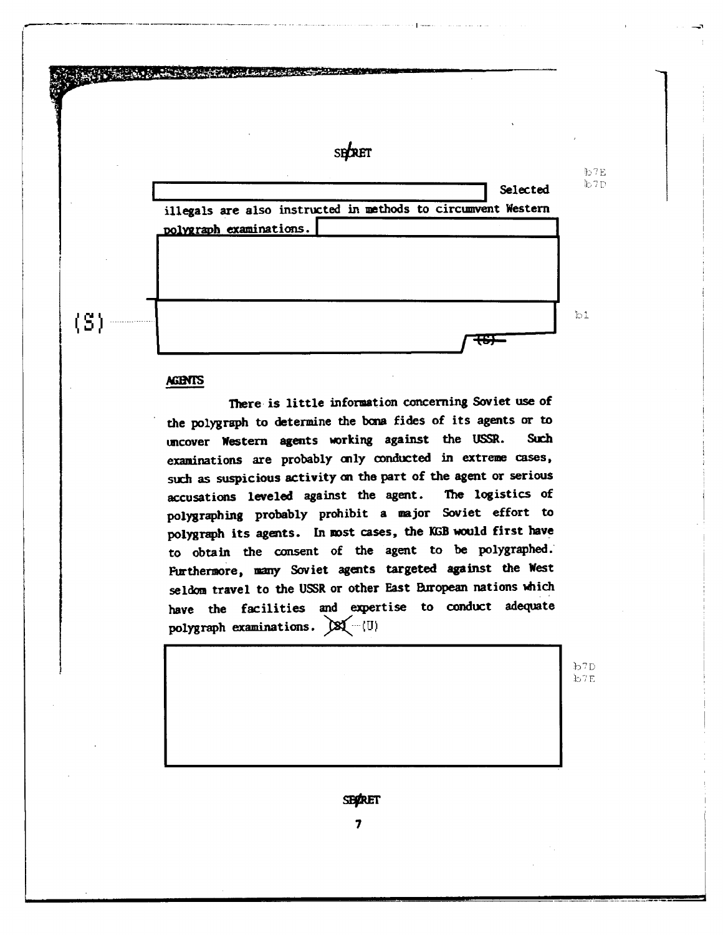

#### **AGENTS**

I..... - -··-· - .. ·-.---- ·-~--·---··-··~-·----·~ I---

There is little information concerning Soviet use of the polygraph to determine the bona fides of its agents or to uncover Western agents working against the USSR. Such examinations are probably mly conducted in extreme cases, such as suspicious activity on the part of the agent or serious accusations leveled against the agent. The logistics of polygraphing probably prohibit a major Soviet effort to polygraph its agents. In most cases, the KGB would first have to obtain the consent of the agent to be polygraphed. Furthermore, many Soviet agents targeted against the West seldom travel to the USSR or other East European nations which have the facilities and expertise to conduct adequate polygraph examinations.  $\mathbb{X}(-1,0)$ 

> $b7D$  $b7E$

**SEPRET** 

7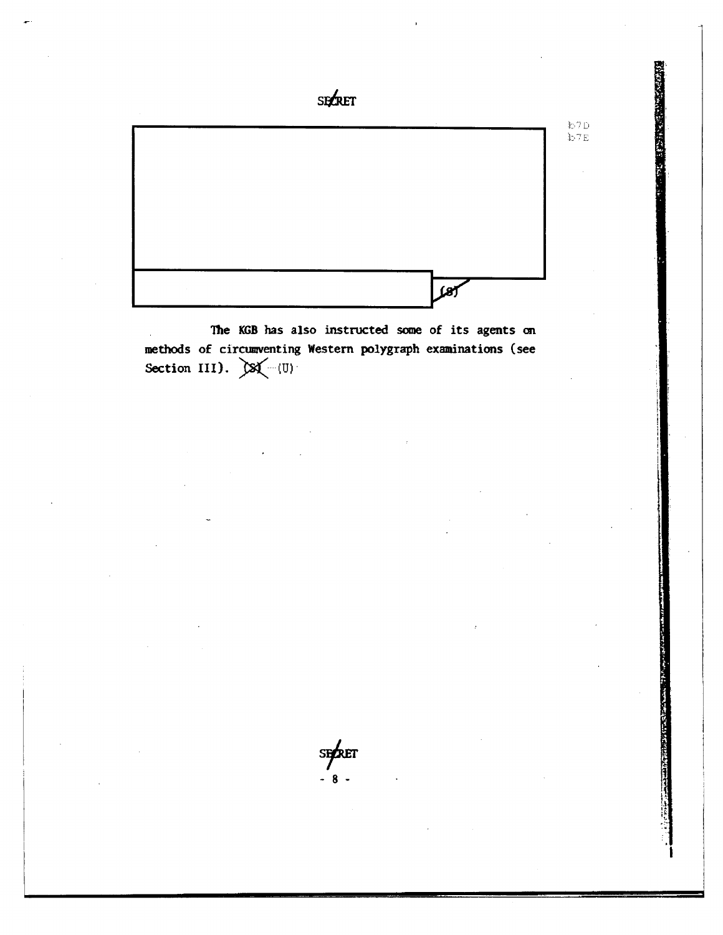

The KGB has also instructed some of its agents on methods of circumventing Western polygraph examinations (see Section III).  $\mathbb{X}(-1)$ 

sexet - 8 -

 $\mathbf{l}$ l

**SES HAR STATES AND LES**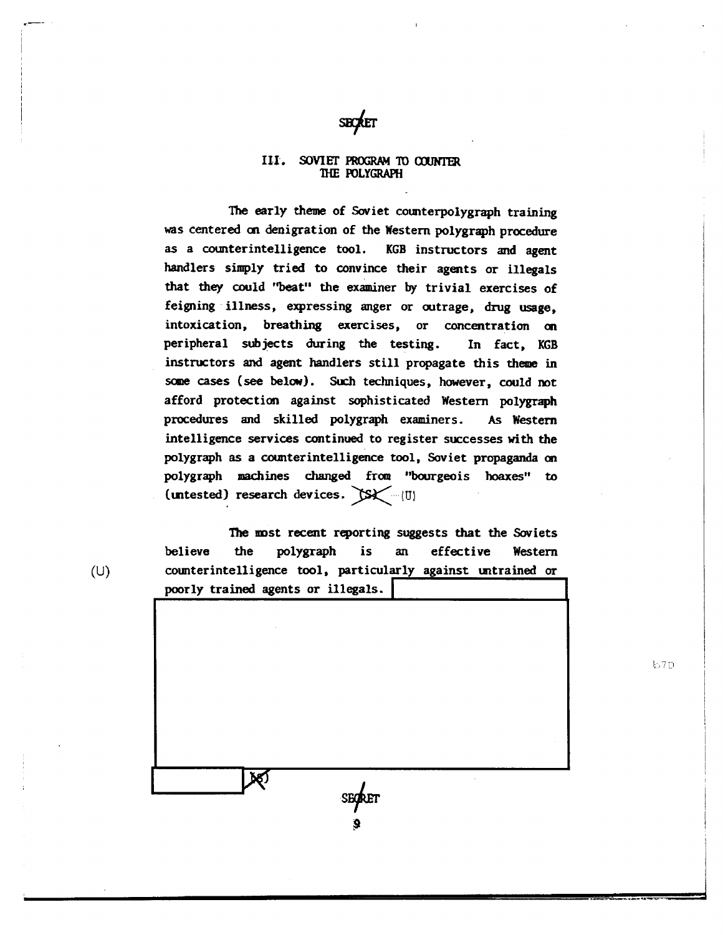

#### III. SOVIET PROGRAM TO COUNTER mE roLYGRAPH

The early theme of Soviet counterpolygraph training was centered m denigration of the Western polygraph procedure as a counterintelligence tool. KGB instructors and agent handlers simply tried to convince their agents or illegals that they could "beat" the examiner by trivial exercises of feigning ·illness, expressing anger or outrage, drug usage, intoxication, breathing exercises, or concentration an peripheral subjects during the testing. In fact, KGB instructors and agent handlers still propagate this theme in some cases (see below). Such techniques, however, could not afford protection against sophisticated Western polygraph procedures and skilled polygraph examiners. As Western intelligence services continued to register successes with the polygraph as a counterintelligence tool, Soviet propaganda on polygraph machines changed from "bourgeois hoaxes" to (untested) research devices.  $(Sx)$  (U)

The mst recent reporting suggests that the Soviets believe the polygraph is an effective Western (U) counterintelligence tool, particularly against mtrained or poorly trained agents or illegals.

DO)

**b7D**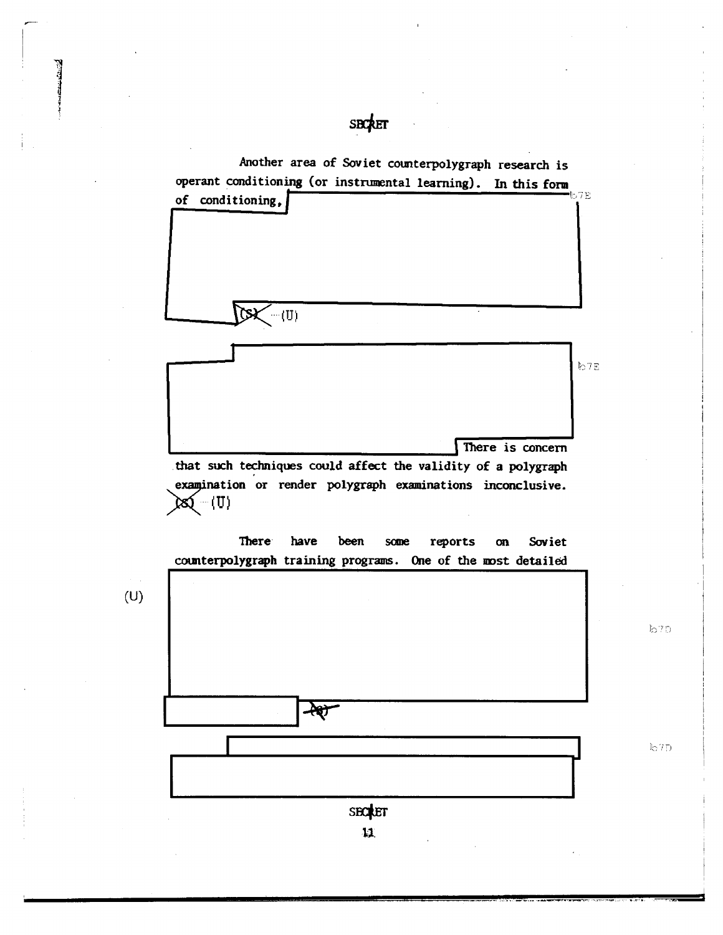

SBCRET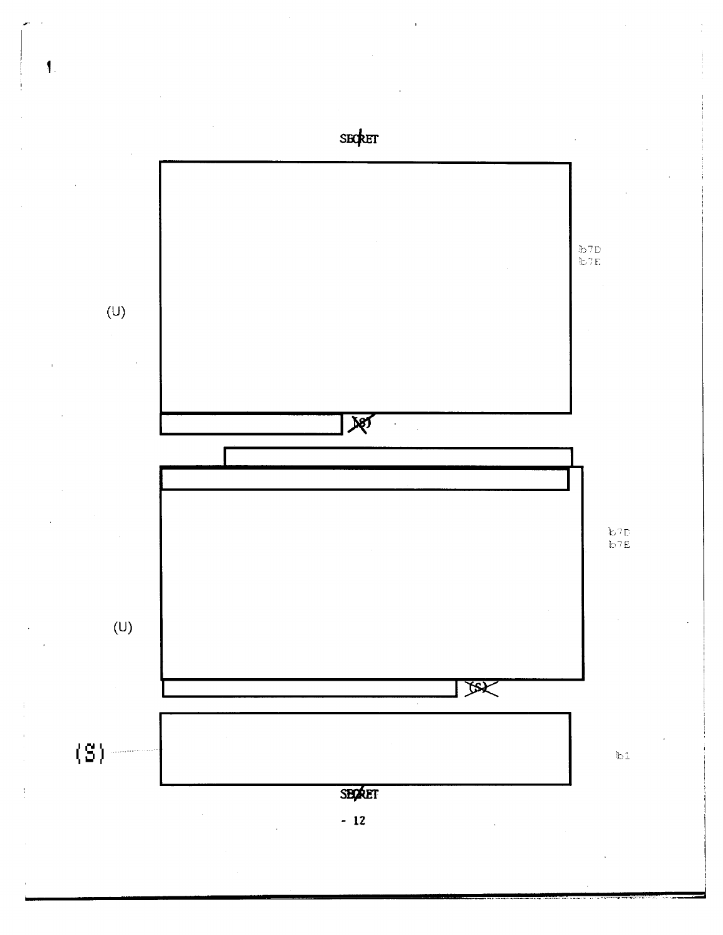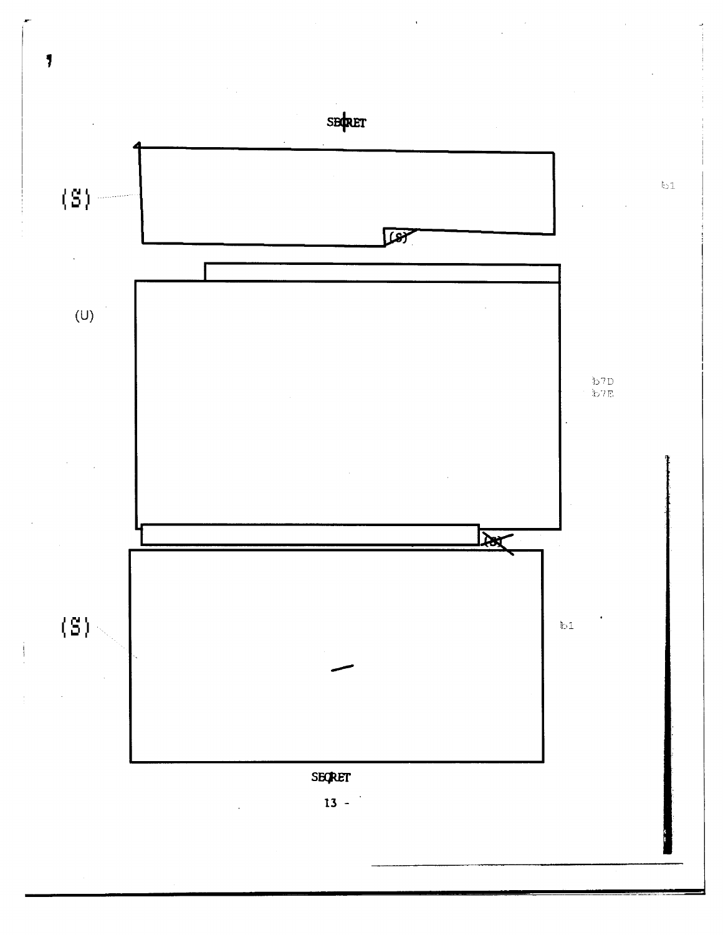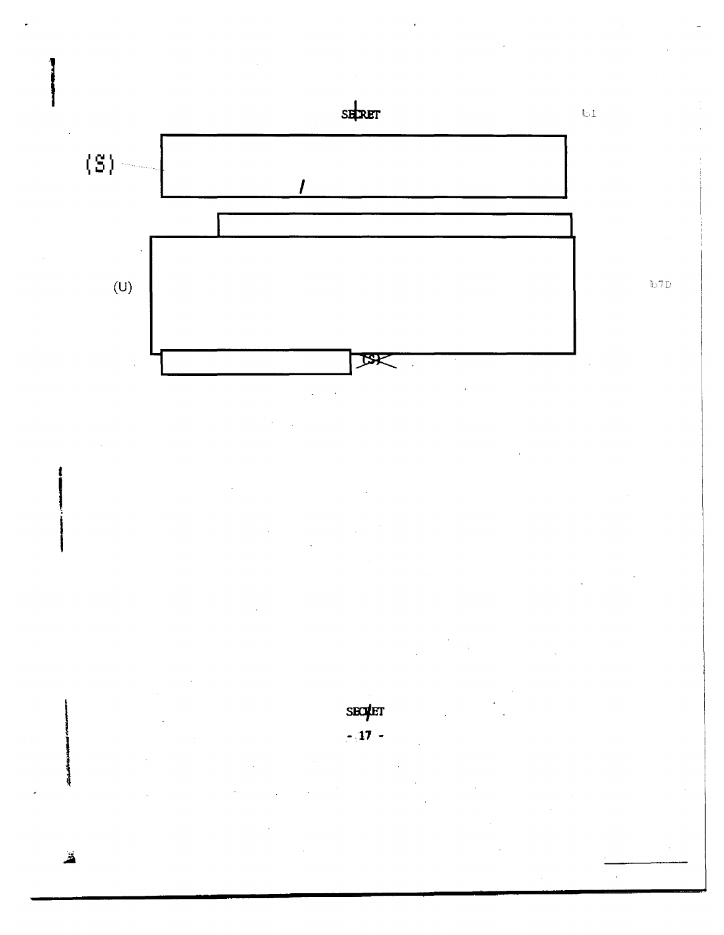



 $-17 -$ 

Ä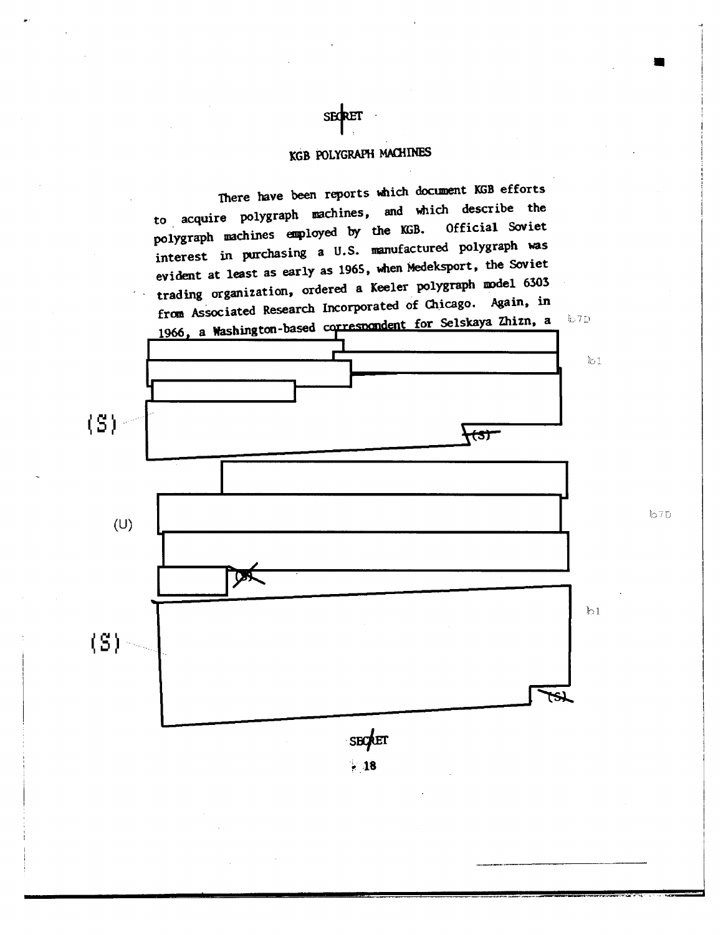## KGB POLYGRAPH MACHINES

•

There have been reports which document KGB efforts to acquire polygraph machines, and which describe the polygraph machines employed by the KGB. interest in purchasing a U.S. manufactured polygraph was evident at least as early as 1965, when Medeksport, the Soviet trading organization, ordered a Keeler polygraph model 6303 from As5ociated Research Incorporated of Chicago. Again, in from Associated Research Incorporated of Chicago. Again, in<br>1966, a Washington-based correspondent for Selskaya Zhizn, a L7D



SECRET